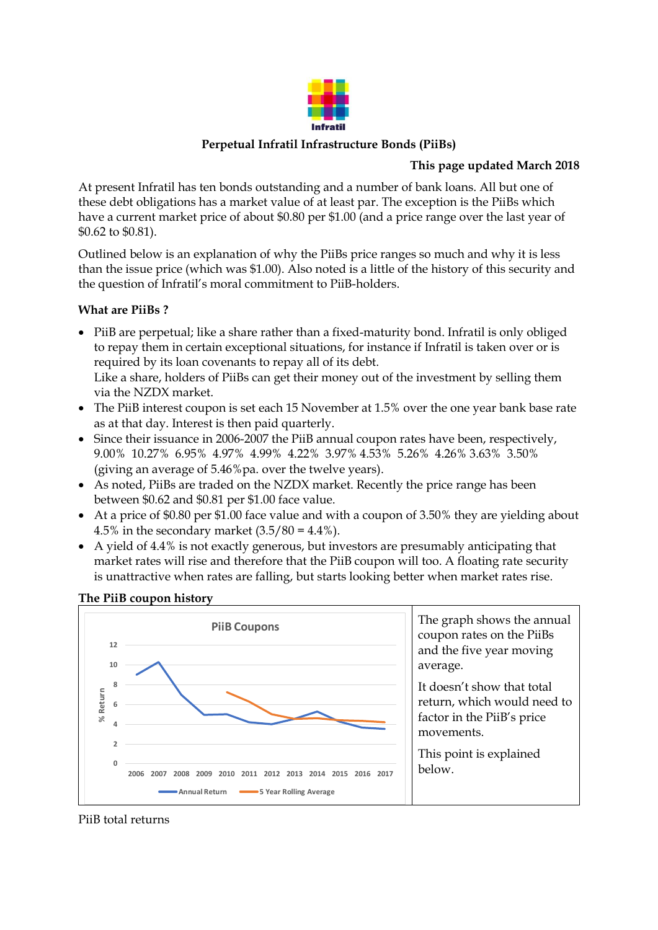

### **Perpetual Infratil Infrastructure Bonds (PiiBs)**

### **This page updated March 2018**

At present Infratil has ten bonds outstanding and a number of bank loans. All but one of these debt obligations has a market value of at least par. The exception is the PiiBs which have a current market price of about \$0.80 per \$1.00 (and a price range over the last year of \$0.62 to \$0.81).

Outlined below is an explanation of why the PiiBs price ranges so much and why it is less than the issue price (which was \$1.00). Also noted is a little of the history of this security and the question of Infratil's moral commitment to PiiB-holders.

## **What are PiiBs ?**

- PiiB are perpetual; like a share rather than a fixed-maturity bond. Infratil is only obliged to repay them in certain exceptional situations, for instance if Infratil is taken over or is required by its loan covenants to repay all of its debt. Like a share, holders of PiiBs can get their money out of the investment by selling them via the NZDX market.
- The PiiB interest coupon is set each 15 November at 1.5% over the one year bank base rate as at that day. Interest is then paid quarterly.
- Since their issuance in 2006-2007 the PiiB annual coupon rates have been, respectively, 9.00% 10.27% 6.95% 4.97% 4.99% 4.22% 3.97% 4.53% 5.26% 4.26% 3.63% 3.50% (giving an average of 5.46%pa. over the twelve years).
- As noted, PiiBs are traded on the NZDX market. Recently the price range has been between \$0.62 and \$0.81 per \$1.00 face value.
- At a price of \$0.80 per \$1.00 face value and with a coupon of 3.50% they are yielding about 4.5% in the secondary market  $(3.5/80 = 4.4\%)$ .
- A yield of 4.4% is not exactly generous, but investors are presumably anticipating that market rates will rise and therefore that the PiiB coupon will too. A floating rate security is unattractive when rates are falling, but starts looking better when market rates rise.

## **The PiiB coupon history**



PiiB total returns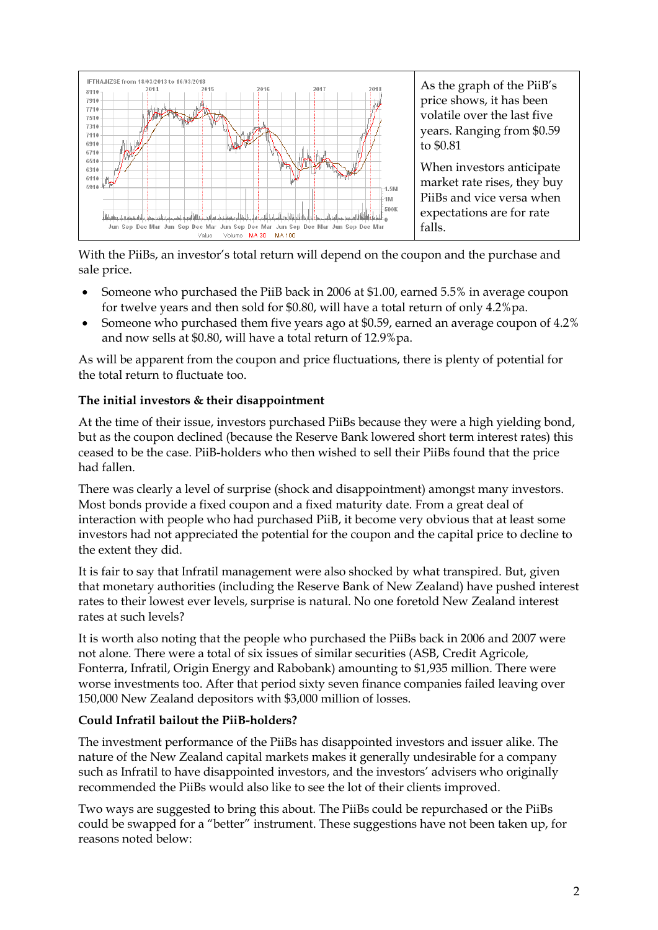

With the PiiBs, an investor's total return will depend on the coupon and the purchase and sale price.

- Someone who purchased the PiiB back in 2006 at \$1.00, earned 5.5% in average coupon for twelve years and then sold for \$0.80, will have a total return of only 4.2%pa.
- Someone who purchased them five years ago at \$0.59, earned an average coupon of 4.2% and now sells at \$0.80, will have a total return of 12.9%pa.

As will be apparent from the coupon and price fluctuations, there is plenty of potential for the total return to fluctuate too.

## **The initial investors & their disappointment**

At the time of their issue, investors purchased PiiBs because they were a high yielding bond, but as the coupon declined (because the Reserve Bank lowered short term interest rates) this ceased to be the case. PiiB-holders who then wished to sell their PiiBs found that the price had fallen.

There was clearly a level of surprise (shock and disappointment) amongst many investors. Most bonds provide a fixed coupon and a fixed maturity date. From a great deal of interaction with people who had purchased PiiB, it become very obvious that at least some investors had not appreciated the potential for the coupon and the capital price to decline to the extent they did.

It is fair to say that Infratil management were also shocked by what transpired. But, given that monetary authorities (including the Reserve Bank of New Zealand) have pushed interest rates to their lowest ever levels, surprise is natural. No one foretold New Zealand interest rates at such levels?

It is worth also noting that the people who purchased the PiiBs back in 2006 and 2007 were not alone. There were a total of six issues of similar securities (ASB, Credit Agricole, Fonterra, Infratil, Origin Energy and Rabobank) amounting to \$1,935 million. There were worse investments too. After that period sixty seven finance companies failed leaving over 150,000 New Zealand depositors with \$3,000 million of losses.

## **Could Infratil bailout the PiiB-holders?**

The investment performance of the PiiBs has disappointed investors and issuer alike. The nature of the New Zealand capital markets makes it generally undesirable for a company such as Infratil to have disappointed investors, and the investors' advisers who originally recommended the PiiBs would also like to see the lot of their clients improved.

Two ways are suggested to bring this about. The PiiBs could be repurchased or the PiiBs could be swapped for a "better" instrument. These suggestions have not been taken up, for reasons noted below: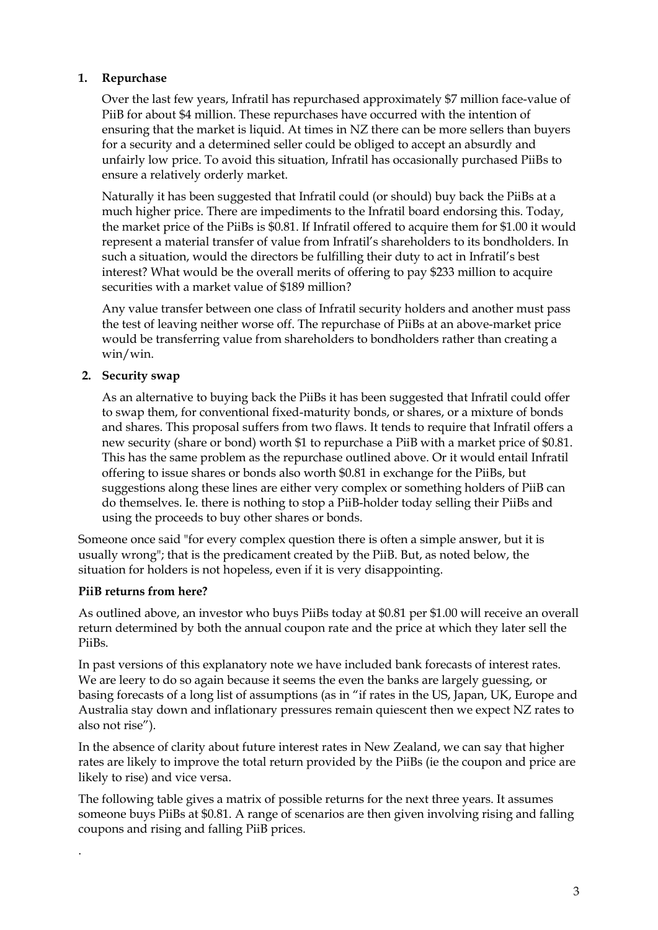### **1. Repurchase**

Over the last few years, Infratil has repurchased approximately \$7 million face-value of PiiB for about \$4 million. These repurchases have occurred with the intention of ensuring that the market is liquid. At times in NZ there can be more sellers than buyers for a security and a determined seller could be obliged to accept an absurdly and unfairly low price. To avoid this situation, Infratil has occasionally purchased PiiBs to ensure a relatively orderly market.

Naturally it has been suggested that Infratil could (or should) buy back the PiiBs at a much higher price. There are impediments to the Infratil board endorsing this. Today, the market price of the PiiBs is \$0.81. If Infratil offered to acquire them for \$1.00 it would represent a material transfer of value from Infratil's shareholders to its bondholders. In such a situation, would the directors be fulfilling their duty to act in Infratil's best interest? What would be the overall merits of offering to pay \$233 million to acquire securities with a market value of \$189 million?

Any value transfer between one class of Infratil security holders and another must pass the test of leaving neither worse off. The repurchase of PiiBs at an above-market price would be transferring value from shareholders to bondholders rather than creating a win/win.

### **2. Security swap**

As an alternative to buying back the PiiBs it has been suggested that Infratil could offer to swap them, for conventional fixed-maturity bonds, or shares, or a mixture of bonds and shares. This proposal suffers from two flaws. It tends to require that Infratil offers a new security (share or bond) worth \$1 to repurchase a PiiB with a market price of \$0.81. This has the same problem as the repurchase outlined above. Or it would entail Infratil offering to issue shares or bonds also worth \$0.81 in exchange for the PiiBs, but suggestions along these lines are either very complex or something holders of PiiB can do themselves. Ie. there is nothing to stop a PiiB-holder today selling their PiiBs and using the proceeds to buy other shares or bonds.

Someone once said "for every complex question there is often a simple answer, but it is usually wrong"; that is the predicament created by the PiiB. But, as noted below, the situation for holders is not hopeless, even if it is very disappointing.

#### **PiiB returns from here?**

.

As outlined above, an investor who buys PiiBs today at \$0.81 per \$1.00 will receive an overall return determined by both the annual coupon rate and the price at which they later sell the PiiBs.

In past versions of this explanatory note we have included bank forecasts of interest rates. We are leery to do so again because it seems the even the banks are largely guessing, or basing forecasts of a long list of assumptions (as in "if rates in the US, Japan, UK, Europe and Australia stay down and inflationary pressures remain quiescent then we expect NZ rates to also not rise").

In the absence of clarity about future interest rates in New Zealand, we can say that higher rates are likely to improve the total return provided by the PiiBs (ie the coupon and price are likely to rise) and vice versa.

The following table gives a matrix of possible returns for the next three years. It assumes someone buys PiiBs at \$0.81. A range of scenarios are then given involving rising and falling coupons and rising and falling PiiB prices.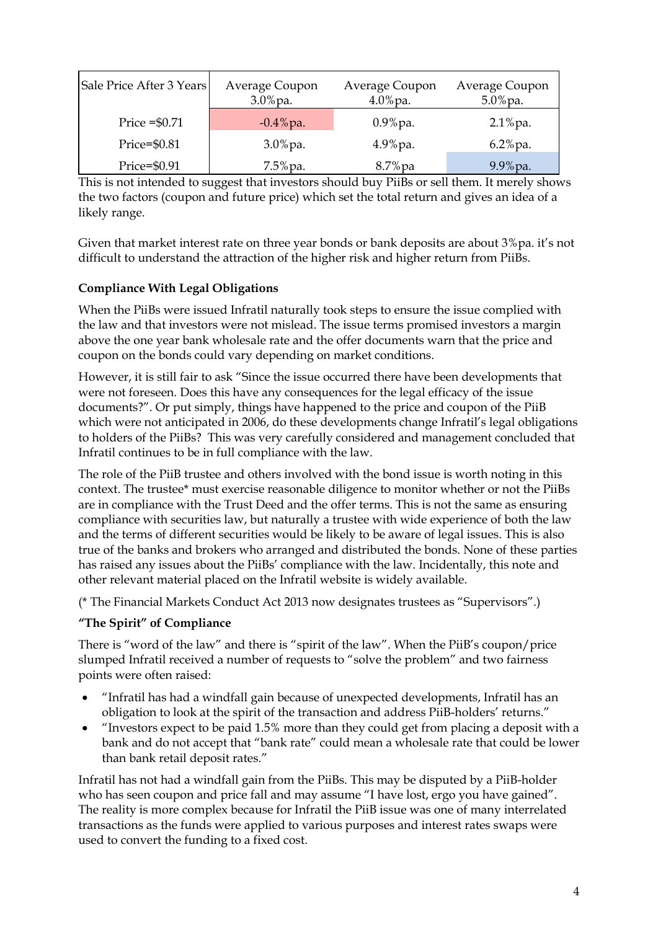| Sale Price After 3 Years | Average Coupon<br>$3.0\%$ pa. | Average Coupon<br>$4.0\%$ pa. | Average Coupon<br>$5.0\%$ pa. |
|--------------------------|-------------------------------|-------------------------------|-------------------------------|
| Price $= $0.71$          | $-0.4\%$ pa.                  | $0.9\%$ pa.                   | $2.1\%$ pa.                   |
| Price=\$0.81             | $3.0\%$ pa.                   | $4.9\%$ pa.                   | $6.2\%$ pa.                   |
| Price=\$0.91             | $7.5\%$ pa.                   | $8.7\%$ pa                    | $9.9\%$ pa.                   |

This is not intended to suggest that investors should buy PiiBs or sell them. It merely shows the two factors (coupon and future price) which set the total return and gives an idea of a likely range.

Given that market interest rate on three year bonds or bank deposits are about 3%pa. it's not difficult to understand the attraction of the higher risk and higher return from PiiBs.

# **Compliance With Legal Obligations**

When the PiiBs were issued Infratil naturally took steps to ensure the issue complied with the law and that investors were not mislead. The issue terms promised investors a margin above the one year bank wholesale rate and the offer documents warn that the price and coupon on the bonds could vary depending on market conditions.

However, it is still fair to ask "Since the issue occurred there have been developments that were not foreseen. Does this have any consequences for the legal efficacy of the issue documents?". Or put simply, things have happened to the price and coupon of the PiiB which were not anticipated in 2006, do these developments change Infratil's legal obligations to holders of the PiiBs? This was very carefully considered and management concluded that Infratil continues to be in full compliance with the law.

The role of the PiiB trustee and others involved with the bond issue is worth noting in this context. The trustee\* must exercise reasonable diligence to monitor whether or not the PiiBs are in compliance with the Trust Deed and the offer terms. This is not the same as ensuring compliance with securities law, but naturally a trustee with wide experience of both the law and the terms of different securities would be likely to be aware of legal issues. This is also true of the banks and brokers who arranged and distributed the bonds. None of these parties has raised any issues about the PiiBs' compliance with the law. Incidentally, this note and other relevant material placed on the Infratil website is widely available.

(\* The Financial Markets Conduct Act 2013 now designates trustees as "Supervisors".)

## **"The Spirit" of Compliance**

There is "word of the law" and there is "spirit of the law". When the PiiB's coupon/price slumped Infratil received a number of requests to "solve the problem" and two fairness points were often raised:

- "Infratil has had a windfall gain because of unexpected developments, Infratil has an obligation to look at the spirit of the transaction and address PiiB-holders' returns."
- "Investors expect to be paid 1.5% more than they could get from placing a deposit with a bank and do not accept that "bank rate" could mean a wholesale rate that could be lower than bank retail deposit rates."

Infratil has not had a windfall gain from the PiiBs. This may be disputed by a PiiB-holder who has seen coupon and price fall and may assume "I have lost, ergo you have gained". The reality is more complex because for Infratil the PiiB issue was one of many interrelated transactions as the funds were applied to various purposes and interest rates swaps were used to convert the funding to a fixed cost.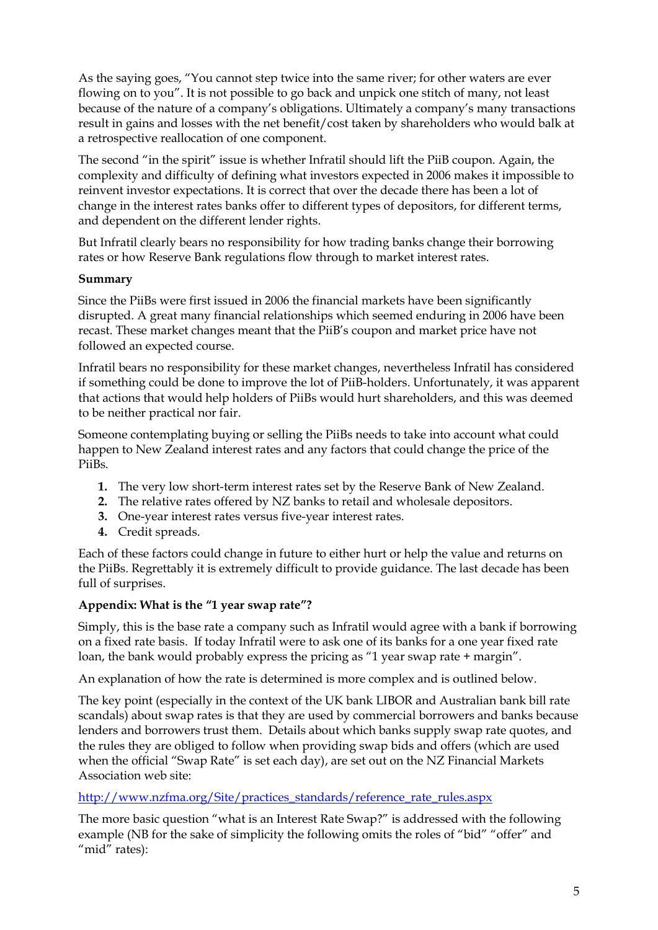As the saying goes, "You cannot step twice into the same river; for other waters are ever flowing on to you". It is not possible to go back and unpick one stitch of many, not least because of the nature of a company's obligations. Ultimately a company's many transactions result in gains and losses with the net benefit/cost taken by shareholders who would balk at a retrospective reallocation of one component.

The second "in the spirit" issue is whether Infratil should lift the PiiB coupon. Again, the complexity and difficulty of defining what investors expected in 2006 makes it impossible to reinvent investor expectations. It is correct that over the decade there has been a lot of change in the interest rates banks offer to different types of depositors, for different terms, and dependent on the different lender rights.

But Infratil clearly bears no responsibility for how trading banks change their borrowing rates or how Reserve Bank regulations flow through to market interest rates.

### **Summary**

Since the PiiBs were first issued in 2006 the financial markets have been significantly disrupted. A great many financial relationships which seemed enduring in 2006 have been recast. These market changes meant that the PiiB's coupon and market price have not followed an expected course.

Infratil bears no responsibility for these market changes, nevertheless Infratil has considered if something could be done to improve the lot of PiiB-holders. Unfortunately, it was apparent that actions that would help holders of PiiBs would hurt shareholders, and this was deemed to be neither practical nor fair.

Someone contemplating buying or selling the PiiBs needs to take into account what could happen to New Zealand interest rates and any factors that could change the price of the PiiBs.

- **1.** The very low short-term interest rates set by the Reserve Bank of New Zealand.
- **2.** The relative rates offered by NZ banks to retail and wholesale depositors.
- **3.** One-year interest rates versus five-year interest rates.
- **4.** Credit spreads.

Each of these factors could change in future to either hurt or help the value and returns on the PiiBs. Regrettably it is extremely difficult to provide guidance. The last decade has been full of surprises.

#### **Appendix: What is the "1 year swap rate"?**

Simply, this is the base rate a company such as Infratil would agree with a bank if borrowing on a fixed rate basis. If today Infratil were to ask one of its banks for a one year fixed rate loan, the bank would probably express the pricing as "1 year swap rate + margin".

An explanation of how the rate is determined is more complex and is outlined below.

The key point (especially in the context of the UK bank LIBOR and Australian bank bill rate scandals) about swap rates is that they are used by commercial borrowers and banks because lenders and borrowers trust them. Details about which banks supply swap rate quotes, and the rules they are obliged to follow when providing swap bids and offers (which are used when the official "Swap Rate" is set each day), are set out on the NZ Financial Markets Association web site:

## [http://www.nzfma.org/Site/practices\\_standards/reference\\_rate\\_rules.aspx](http://www.nzfma.org/Site/practices_standards/reference_rate_rules.aspx)

The more basic question "what is an Interest Rate Swap?" is addressed with the following example (NB for the sake of simplicity the following omits the roles of "bid" "offer" and "mid" rates):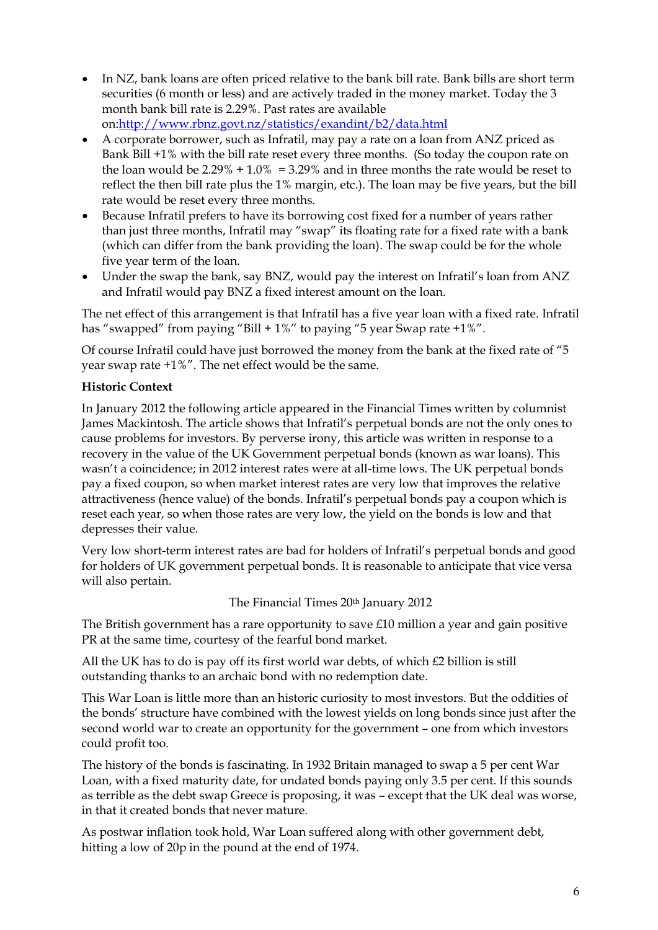- In NZ, bank loans are often priced relative to the bank bill rate. Bank bills are short term securities (6 month or less) and are actively traded in the money market. Today the 3 month bank bill rate is 2.29%. Past rates are available on[:http://www.rbnz.govt.nz/statistics/exandint/b2/data.html](http://www.rbnz.govt.nz/statistics/exandint/b2/data.html)
- A corporate borrower, such as Infratil, may pay a rate on a loan from ANZ priced as Bank Bill +1% with the bill rate reset every three months. (So today the coupon rate on the loan would be 2.29% + 1.0% = 3.29% and in three months the rate would be reset to reflect the then bill rate plus the 1% margin, etc.). The loan may be five years, but the bill rate would be reset every three months.
- Because Infratil prefers to have its borrowing cost fixed for a number of years rather than just three months, Infratil may "swap" its floating rate for a fixed rate with a bank (which can differ from the bank providing the loan). The swap could be for the whole five year term of the loan.
- Under the swap the bank, say BNZ, would pay the interest on Infratil's loan from ANZ and Infratil would pay BNZ a fixed interest amount on the loan.

The net effect of this arrangement is that Infratil has a five year loan with a fixed rate. Infratil has "swapped" from paying "Bill + 1%" to paying "5 year Swap rate +1%".

Of course Infratil could have just borrowed the money from the bank at the fixed rate of "5 year swap rate +1%". The net effect would be the same.

## **Historic Context**

In January 2012 the following article appeared in the Financial Times written by columnist James Mackintosh. The article shows that Infratil's perpetual bonds are not the only ones to cause problems for investors. By perverse irony, this article was written in response to a recovery in the value of the UK Government perpetual bonds (known as war loans). This wasn't a coincidence; in 2012 interest rates were at all-time lows. The UK perpetual bonds pay a fixed coupon, so when market interest rates are very low that improves the relative attractiveness (hence value) of the bonds. Infratil's perpetual bonds pay a coupon which is reset each year, so when those rates are very low, the yield on the bonds is low and that depresses their value.

Very low short-term interest rates are bad for holders of Infratil's perpetual bonds and good for holders of UK government perpetual bonds. It is reasonable to anticipate that vice versa will also pertain.

The Financial Times 20th January 2012

The British government has a rare opportunity to save £10 million a year and gain positive PR at the same time, courtesy of the fearful bond market.

All the UK has to do is pay off its first world war debts, of which £2 billion is still outstanding thanks to an archaic bond with no redemption date.

This War Loan is little more than an historic curiosity to most investors. But the oddities of the bonds' structure have combined with the lowest yields on long bonds since just after the second world war to create an opportunity for the government – one from which investors could profit too.

The history of the bonds is fascinating. In 1932 Britain managed to swap a 5 per cent War Loan, with a fixed maturity date, for undated bonds paying only 3.5 per cent. If this sounds as terrible as the debt swap Greece is proposing, it was – except that the UK deal was worse, in that it created bonds that never mature.

As postwar inflation took hold, War Loan suffered along with other government debt, hitting a low of 20p in the pound at the end of 1974.